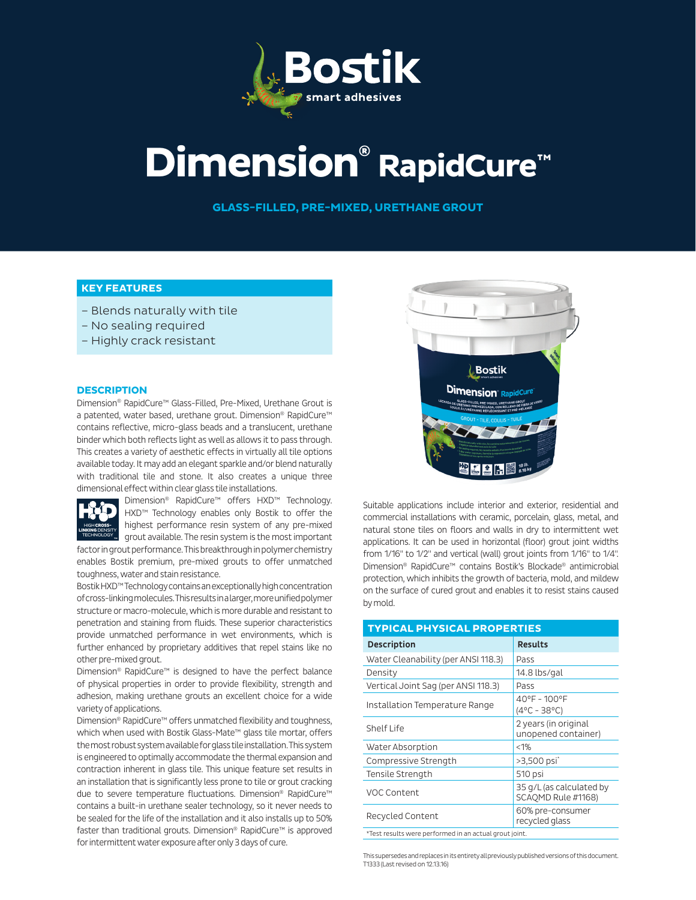

# **Dimension® RapidCure™**

**GLASS-FILLED, PRE-MIXED, URETHANE GROUT**

# **KEY FEATURES**

- Blends naturally with tile
- No sealing required
- Highly crack resistant

#### **DESCRIPTION**

Dimension® RapidCure™ Glass-Filled, Pre-Mixed, Urethane Grout is a patented, water based, urethane grout. Dimension® RapidCure™ contains reflective, micro-glass beads and a translucent, urethane binder which both reflects light as well as allows it to pass through. This creates a variety of aesthetic effects in virtually all tile options available today. It may add an elegant sparkle and/or blend naturally with traditional tile and stone. It also creates a unique three dimensional effect within clear glass tile installations.



Dimension® RapidCure™ offers HXD™ Technology. HXD™ Technology enables only Bostik to offer the highest performance resin system of any pre-mixed grout available. The resin system is the most important

factor in grout performance. This breakthrough in polymer chemistry enables Bostik premium, pre-mixed grouts to offer unmatched toughness, water and stain resistance.

Bostik HXD™ Technology contains an exceptionally high concentration of cross-linking molecules. This results in a larger, more unified polymer structure or macro-molecule, which is more durable and resistant to penetration and staining from fluids. These superior characteristics provide unmatched performance in wet environments, which is further enhanced by proprietary additives that repel stains like no other pre-mixed grout.

Dimension® RapidCure™ is designed to have the perfect balance of physical properties in order to provide flexibility, strength and adhesion, making urethane grouts an excellent choice for a wide variety of applications.

Dimension® RapidCure™ offers unmatched flexibility and toughness, which when used with Bostik Glass-Mate™ glass tile mortar, offers the most robust system available for glass tile installation. This system is engineered to optimally accommodate the thermal expansion and contraction inherent in glass tile. This unique feature set results in an installation that is significantly less prone to tile or grout cracking due to severe temperature fluctuations. Dimension® RapidCure™ contains a built-in urethane sealer technology, so it never needs to be sealed for the life of the installation and it also installs up to 50% faster than traditional grouts. Dimension® RapidCure™ is approved for intermittent water exposure after only 3 days of cure.



Suitable applications include interior and exterior, residential and commercial installations with ceramic, porcelain, glass, metal, and natural stone tiles on floors and walls in dry to intermittent wet applications. It can be used in horizontal (floor) grout joint widths from 1/16" to 1/2" and vertical (wall) grout joints from 1/16" to 1/4". Dimension® RapidCure™ contains Bostik's Blockade® antimicrobial protection, which inhibits the growth of bacteria, mold, and mildew on the surface of cured grout and enables it to resist stains caused by mold.

| <b>TYPICAL PHYSICAL PROPERTIES</b>                     |                                                |  |  |  |  |  |
|--------------------------------------------------------|------------------------------------------------|--|--|--|--|--|
| <b>Description</b>                                     | <b>Results</b>                                 |  |  |  |  |  |
| Water Cleanability (per ANSI 118.3)                    | Pass                                           |  |  |  |  |  |
| Density                                                | 14.8 lbs/gal                                   |  |  |  |  |  |
| Vertical Joint Sag (per ANSI 118.3)                    | Pass                                           |  |  |  |  |  |
| Installation Temperature Range                         | 40°F - 100°F<br>$(4^{\circ}C - 38^{\circ}C)$   |  |  |  |  |  |
| Shelf Life                                             | 2 years (in original<br>unopened container)    |  |  |  |  |  |
| Water Absorption                                       | $< 1\%$                                        |  |  |  |  |  |
| Compressive Strength                                   | >3,500 psi <sup>*</sup>                        |  |  |  |  |  |
| Tensile Strength                                       | 510 psi                                        |  |  |  |  |  |
| VOC Content                                            | 35 g/L (as calculated by<br>SCAOMD Rule #1168) |  |  |  |  |  |
| Recycled Content                                       | 60% pre-consumer<br>recycled glass             |  |  |  |  |  |
| *Test results were performed in an actual grout joint. |                                                |  |  |  |  |  |

This supersedes and replaces in its entirety all previously published versions of this document. T1333 (Last revised on 12.13.16)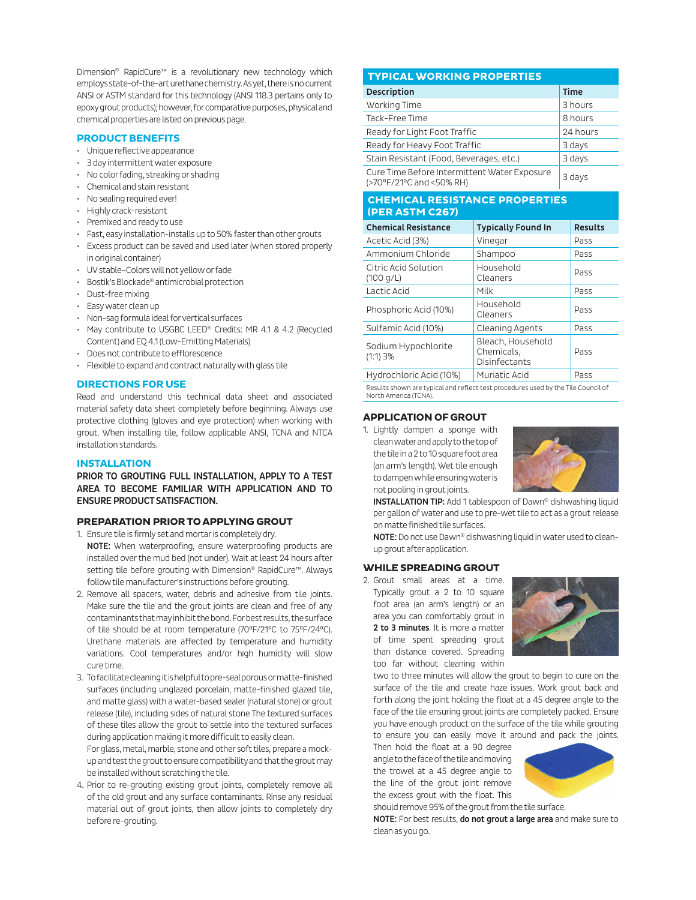Dimension® RapidCure™ is a revolutionary new technology which employs state-of-the-art urethane chemistry. As yet, there is no current ANSI or ASTM standard for this technology (ANSI 118.3 pertains only to epoxy grout products); however, for comparative purposes, physical and chemical properties are listed on previous page.

#### **PRODUCT BENEFITS**

- Unique reflective appearance
- 3 day intermittent water exposure
- No color fading, streaking or shading
- Chemical and stain resistant
- No sealing required ever!
- Highly crack-resistant
- Premixed and ready to use
- Fast, easy installation-installs up to 50% faster than other grouts
- Excess product can be saved and used later (when stored properly in original container)
- UV stable–Colors will not yellow or fade
- Bostik's Blockade® antimicrobial protection
- Dust-free mixing
- Easy water clean up
- Non-sag formula ideal for vertical surfaces
- May contribute to USGBC LEED® Credits: MR 4.1 & 4.2 (Recycled Content) and EQ 4.1 (Low-Emitting Materials)
- Does not contribute to efflorescence
- Flexible to expand and contract naturally with glass tile

#### **DIRECTIONS FOR USE**

Read and understand this technical data sheet and associated material safety data sheet completely before beginning. Always use protective clothing (gloves and eye protection) when working with grout. When installing tile, follow applicable ANSI, TCNA and NTCA installation standards.

#### **INSTALLATION**

PRIOR TO GROUTING FULL INSTALLATION, APPLY TO A TEST AREA TO BECOME FAMILIAR WITH APPLICATION AND TO ENSURE PRODUCT SATISFACTION.

#### **PREPARATION PRIOR TO APPLYING GROUT**

- 1. Ensure tile is firmly set and mortar is completely dry. NOTE: When waterproofing, ensure waterproofing products are installed over the mud bed (not under). Wait at least 24 hours after setting tile before grouting with Dimension® RapidCure™. Always follow tile manufacturer's instructions before grouting.
- 2. Remove all spacers, water, debris and adhesive from tile joints. Make sure the tile and the grout joints are clean and free of any contaminants that may inhibit the bond. For best results, the surface of tile should be at room temperature (70°F/21°C to 75°F/24°C). Urethane materials are affected by temperature and humidity variations. Cool temperatures and/or high humidity will slow cure time.
- 3. To facilitate cleaning it is helpful to pre-seal porous or matte-finished surfaces (including unglazed porcelain, matte-finished glazed tile, and matte glass) with a water-based sealer (natural stone) or grout release (tile), including sides of natural stone The textured surfaces of these tiles allow the grout to settle into the textured surfaces during application making it more difficult to easily clean.

For glass, metal, marble, stone and other soft tiles, prepare a mockup and test the grout to ensure compatibility and that the grout may be installed without scratching the tile.

4. Prior to re-grouting existing grout joints, completely remove all of the old grout and any surface contaminants. Rinse any residual material out of grout joints, then allow joints to completely dry before re-grouting.

## **TYPICAL WORKING PROPERTIES**

| <b>Description</b>                                                       | <b>Time</b> |
|--------------------------------------------------------------------------|-------------|
| Working Time                                                             | 3 hours     |
| Tack-Free Time                                                           | 8 hours     |
| Ready for Light Foot Traffic                                             | 24 hours    |
| Ready for Heavy Foot Traffic                                             | 3 days      |
| Stain Resistant (Food, Beverages, etc.)                                  | 3 days      |
| Cure Time Before Intermittent Water Exposure<br>(>70°F/21°C and <50% RH) | 3 days      |

#### **CHEMICAL RESISTANCE PROPERTIES (PER ASTM C267)**

| <b>Chemical Resistance</b>        | <b>Typically Found In</b>                               | <b>Results</b> |
|-----------------------------------|---------------------------------------------------------|----------------|
| Acetic Acid (3%)                  | Vinegar                                                 | Pass           |
| Ammonium Chloride                 | Shampoo                                                 | Pass           |
| Citric Acid Solution<br>(100 q/L) | Household<br>Cleaners                                   | Pass           |
| Lactic Acid                       | Milk                                                    | Pass           |
| Phosphoric Acid (10%)             | Household<br>Cleaners                                   | Pass           |
| Sulfamic Acid (10%)               | Cleaning Agents                                         | Pass           |
| Sodium Hypochlorite<br>$(1:1)$ 3% | Bleach, Household<br>Chemicals,<br><b>Disinfectants</b> | Pass           |
| Hydrochloric Acid (10%)           | Muriatic Acid                                           | Pass           |

Results shown are typical and reflect test procedures used by the Tile Council of North America (TCNA).

#### **APPLICATION OF GROUT**

1. Lightly dampen a sponge with clean water and apply to the top of the tile in a 2 to 10 square foot area (an arm's length). Wet tile enough to dampen while ensuring water is not pooling in grout joints.



INSTALLATION TIP: Add 1 tablespoon of Dawn® dishwashing liquid per gallon of water and use to pre-wet tile to act as a grout release on matte finished tile surfaces.

NOTE: Do not use Dawn® dishwashing liquid in water used to cleanup grout after application.

#### **WHILE SPREADING GROUT**

2. Grout small areas at a time. Typically grout a 2 to 10 square foot area (an arm's length) or an area you can comfortably grout in 2 to 3 minutes. It is more a matter of time spent spreading grout than distance covered. Spreading too far without cleaning within



two to three minutes will allow the grout to begin to cure on the surface of the tile and create haze issues. Work grout back and forth along the joint holding the float at a 45 degree angle to the face of the tile ensuring grout joints are completely packed. Ensure you have enough product on the surface of the tile while grouting to ensure you can easily move it around and pack the joints.

Then hold the float at a 90 degree angle to the face of the tile and moving the trowel at a 45 degree angle to the line of the grout joint remove the excess grout with the float. This should remove 95% of the grout from the tile surface.



NOTE: For best results, do not grout a large area and make sure to clean as you go.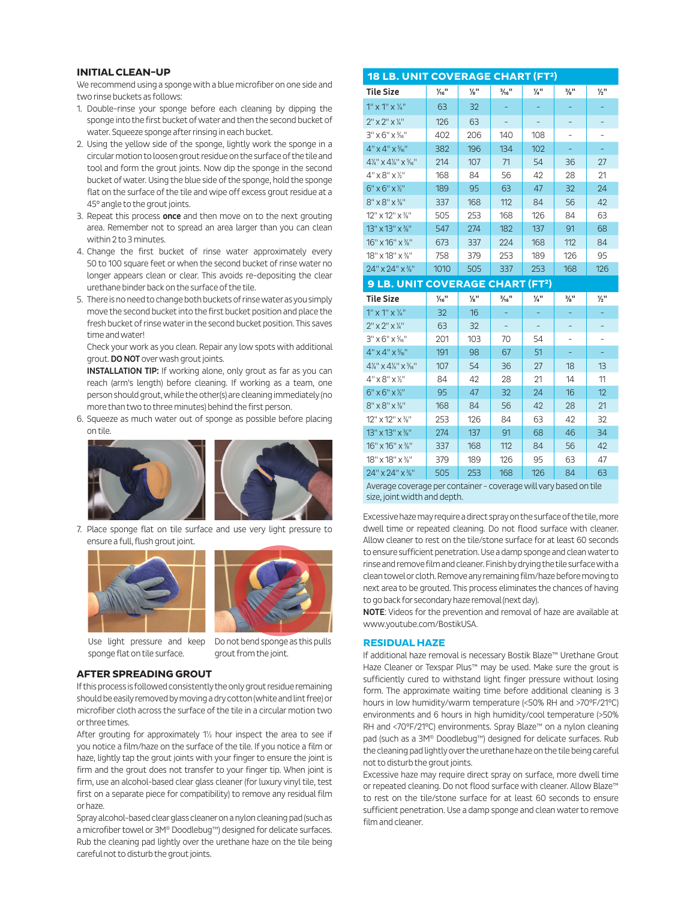#### **INITIAL CLEAN-UP**

We recommend using a sponge with a blue microfiber on one side and two rinse buckets as follows:

- 1. Double-rinse your sponge before each cleaning by dipping the sponge into the first bucket of water and then the second bucket of water. Squeeze sponge after rinsing in each bucket.
- 2. Using the yellow side of the sponge, lightly work the sponge in a circular motion to loosen grout residue on the surface of the tile and tool and form the grout joints. Now dip the sponge in the second bucket of water. Using the blue side of the sponge, hold the sponge flat on the surface of the tile and wipe off excess grout residue at a 45° angle to the grout joints.
- 3. Repeat this process once and then move on to the next grouting area. Remember not to spread an area larger than you can clean within 2 to 3 minutes.
- 4. Change the first bucket of rinse water approximately every 50 to 100 square feet or when the second bucket of rinse water no longer appears clean or clear. This avoids re-depositing the clear urethane binder back on the surface of the tile.
- 5. There is no need to change both buckets of rinse water as you simply move the second bucket into the first bucket position and place the fresh bucket of rinse water in the second bucket position. This saves time and water!

Check your work as you clean. Repair any low spots with additional grout. DO NOT over wash grout joints.

**INSTALLATION TIP:** If working alone, only grout as far as you can reach (arm's length) before cleaning. If working as a team, one person should grout, while the other(s) are cleaning immediately (no more than two to three minutes) behind the first person.

6. Squeeze as much water out of sponge as possible before placing on tile.



7. Place sponge flat on tile surface and use very light pressure to ensure a full, flush grout joint.





Use light pressure and keep sponge flat on tile surface.

Do not bend sponge as this pulls grout from the joint.

### **AFTER SPREADING GROUT**

If this process is followed consistently the only grout residue remaining should be easily removed by moving a dry cotton (white and lint free) or microfiber cloth across the surface of the tile in a circular motion two or three times.

After grouting for approximately 1½ hour inspect the area to see if you notice a film/haze on the surface of the tile. If you notice a film or haze, lightly tap the grout joints with your finger to ensure the joint is firm and the grout does not transfer to your finger tip. When joint is firm, use an alcohol-based clear glass cleaner (for luxury vinyl tile, test first on a separate piece for compatibility) to remove any residual film or haze.

Spray alcohol-based clear glass cleaner on a nylon cleaning pad (such as a microfiber towel or 3M® Doodlebug™) designed for delicate surfaces. Rub the cleaning pad lightly over the urethane haze on the tile being careful not to disturb the grout joints.

| <b>18 LB. UNIT COVERAGE CHART (FT2)</b>                           |                              |                             |                              |                 |                             |                             |  |  |
|-------------------------------------------------------------------|------------------------------|-----------------------------|------------------------------|-----------------|-----------------------------|-----------------------------|--|--|
| <b>Tile Size</b>                                                  | $\frac{1}{16}$ <sup>11</sup> | $\frac{1}{8}$ <sup>11</sup> | $\frac{3}{16}$ <sup>11</sup> | $\frac{1}{4}$ " | $\frac{3}{8}$ <sup>11</sup> | $\frac{1}{2}$ "             |  |  |
| $1''$ x $1''$ x $\frac{1}{4}''$                                   | 63                           | 32                          |                              |                 |                             |                             |  |  |
| $2''$ x $2''$ x $\frac{1}{4}''$                                   | 126                          | 63                          |                              |                 |                             |                             |  |  |
| $3'' \times 6'' \times \frac{5}{16}$                              | 402                          | 206                         | 140                          | 108             |                             |                             |  |  |
| $4" \times 4" \times \frac{5}{16}$                                | 382                          | 196                         | 134                          | 102             | ÷                           |                             |  |  |
| $4\frac{1}{4}$ " x $4\frac{1}{4}$ " x $\frac{5}{16}$ "            | 214                          | 107                         | 71                           | 54              | 36                          | 27                          |  |  |
| $4" \times 8" \times 7"$                                          | 168                          | 84                          | 56                           | 42              | 28                          | 21                          |  |  |
| $6" \times 6" \times 7"$                                          | 189                          | 95                          | 63                           | 47              | 32                          | 24                          |  |  |
| $8'' \times 8'' \times 3''$                                       | 337                          | 168                         | 112                          | 84              | 56                          | 42                          |  |  |
| 12" x 12" x %"                                                    | 505                          | 253                         | 168                          | 126             | 84                          | 63                          |  |  |
| 13" x 13" x %"                                                    | 547                          | 274                         | 182                          | 137             | 91                          | 68                          |  |  |
| 16" x 16" x %"                                                    | 673                          | 337                         | 224                          | 168             | 112                         | 84                          |  |  |
| 18" x 18" x %"                                                    | 758                          | 379                         | 253                          | 189             | 126                         | 95                          |  |  |
| 24" x 24" x %"                                                    | 1010                         | 505                         | 337                          | 253             | 168                         | 126                         |  |  |
| <b>9 LB. UNIT COVERAGE CHART (FT2)</b>                            |                              |                             |                              |                 |                             |                             |  |  |
| <b>Tile Size</b>                                                  | $\frac{1}{16}$ <sup>11</sup> | $\frac{1}{8}$ "             | $\frac{3}{16}$ <sup>11</sup> | $\frac{1}{4}$ " | $\frac{3}{8}$ <sup>11</sup> | $\frac{1}{2}$ <sup>11</sup> |  |  |
| $1''$ x $1''$ x $\frac{1}{4}''$                                   | 32                           | 16                          |                              |                 |                             |                             |  |  |
| $2" \times 2" \times \frac{1}{4"$                                 | 63                           | 32                          |                              |                 |                             |                             |  |  |
| $3''$ x 6" x $\frac{5}{16}$ "                                     | 201                          | 103                         | 70                           | 54              |                             |                             |  |  |
| $4" \times 4" \times 5"_{16"$                                     | 191                          | 98                          | 67                           | 51              | ÷,                          |                             |  |  |
| $4\frac{1}{4}$ " x $4\frac{1}{4}$ " x $\frac{5}{16}$ "            | 107                          | 54                          | 36                           | 27              | 18                          | 13                          |  |  |
| $4" \times 8" \times 16"$                                         | 84                           | 42                          | 28                           | 21              | 14                          | 11                          |  |  |
| $6" \times 6" \times 7"$                                          | 95                           | 47                          | 32                           | 24              | 16                          | 12                          |  |  |
| 8" x 8" x %"                                                      | 168                          | 84                          | 56                           | 42              | 28                          | 21                          |  |  |
| 12" x 12" x %"                                                    | 253                          | 126                         | 84                           | 63              | 42                          | 32                          |  |  |
| 13" x 13" x %"                                                    | 274                          | 137                         | 91                           | 68              | 46                          | 34                          |  |  |
| 16" x 16" x %"                                                    | 337                          | 168                         | 112                          | 84              | 56                          | 42                          |  |  |
| 18" x 18" x %"                                                    | 379                          | 189                         | 126                          | 95              | 63                          | 47                          |  |  |
| 24" x 24" x %"                                                    | 505                          | 253                         | 168                          | 126             | 84                          | 63                          |  |  |
| Average coverage per container - coverage will vary based on tile |                              |                             |                              |                 |                             |                             |  |  |

size, joint width and depth.

Excessive haze may require a direct spray on the surface of the tile, more dwell time or repeated cleaning. Do not flood surface with cleaner. Allow cleaner to rest on the tile/stone surface for at least 60 seconds to ensure sufficient penetration. Use a damp sponge and clean water to rinse and remove film and cleaner. Finish by drying the tile surface with a clean towel or cloth. Remove any remaining film/haze before moving to next area to be grouted. This process eliminates the chances of having to go back for secondary haze removal (next day).

NOTE: Videos for the prevention and removal of haze are available at www.youtube.com/BostikUSA.

#### **RESIDUAL HAZE**

If additional haze removal is necessary Bostik Blaze™ Urethane Grout Haze Cleaner or Texspar Plus™ may be used. Make sure the grout is sufficiently cured to withstand light finger pressure without losing form. The approximate waiting time before additional cleaning is 3 hours in low humidity/warm temperature (<50% RH and >70°F/21°C) environments and 6 hours in high humidity/cool temperature (>50% RH and <70°F/21°C) environments. Spray Blaze™ on a nylon cleaning pad (such as a 3M® Doodlebug™) designed for delicate surfaces. Rub the cleaning pad lightly over the urethane haze on the tile being careful not to disturb the grout joints.

Excessive haze may require direct spray on surface, more dwell time or repeated cleaning. Do not flood surface with cleaner. Allow Blaze™ to rest on the tile/stone surface for at least 60 seconds to ensure sufficient penetration. Use a damp sponge and clean water to remove film and cleaner.